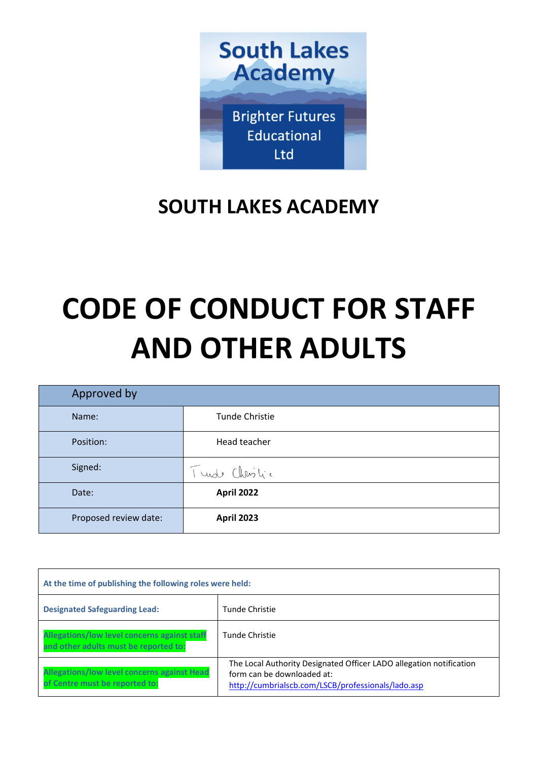

# **SOUTH LAKES ACADEMY**

# **CODE OF CONDUCT FOR STAFF AND OTHER ADULTS**

| Approved by           |                       |
|-----------------------|-----------------------|
| Name:                 | <b>Tunde Christie</b> |
| Position:             | Head teacher          |
| Signed:               | Tundo Christic        |
| Date:                 | <b>April 2022</b>     |
| Proposed review date: | <b>April 2023</b>     |

<span id="page-0-5"></span><span id="page-0-4"></span><span id="page-0-3"></span><span id="page-0-2"></span><span id="page-0-1"></span><span id="page-0-0"></span>

| At the time of publishing the following roles were held:                              |                                                                                                                                                         |  |
|---------------------------------------------------------------------------------------|---------------------------------------------------------------------------------------------------------------------------------------------------------|--|
| <b>Designated Safeguarding Lead:</b>                                                  | Tunde Christie                                                                                                                                          |  |
| Allegations/low level concerns against staff<br>and other adults must be reported to: | Tunde Christie                                                                                                                                          |  |
| Allegations/low level concerns against Head<br>of Centre must be reported to:         | The Local Authority Designated Officer LADO allegation notification<br>form can be downloaded at:<br>http://cumbrialscb.com/LSCB/professionals/lado.asp |  |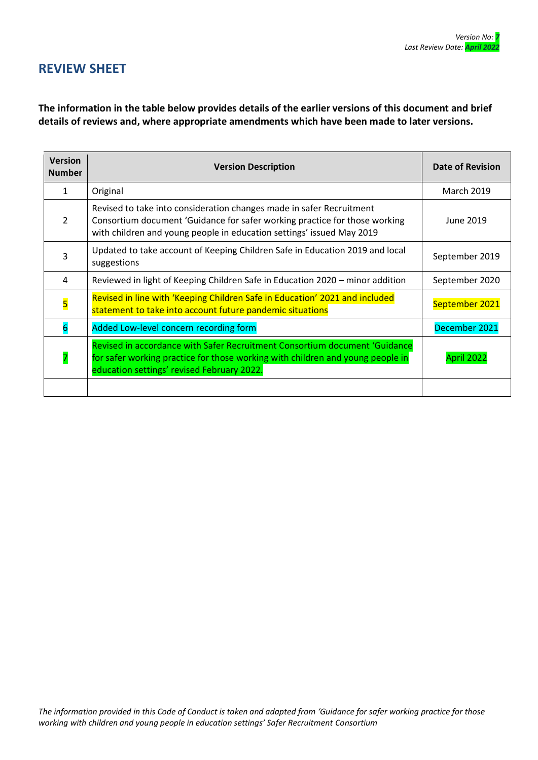# **REVIEW SHEET**

**The information in the table below provides details of the earlier versions of this document and brief details of reviews and, where appropriate amendments which have been made to later versions.** 

| <b>Version</b><br><b>Number</b> | <b>Version Description</b>                                                                                                                                                                                                  | <b>Date of Revision</b> |
|---------------------------------|-----------------------------------------------------------------------------------------------------------------------------------------------------------------------------------------------------------------------------|-------------------------|
| 1                               | Original                                                                                                                                                                                                                    | <b>March 2019</b>       |
| $\mathcal{P}$                   | Revised to take into consideration changes made in safer Recruitment<br>Consortium document 'Guidance for safer working practice for those working<br>with children and young people in education settings' issued May 2019 | June 2019               |
| 3                               | Updated to take account of Keeping Children Safe in Education 2019 and local<br>suggestions                                                                                                                                 | September 2019          |
| 4                               | Reviewed in light of Keeping Children Safe in Education 2020 – minor addition                                                                                                                                               | September 2020          |
| $\overline{\mathbf{5}}$         | Revised in line with 'Keeping Children Safe in Education' 2021 and included<br>statement to take into account future pandemic situations                                                                                    | September 2021          |
| 6                               | Added Low-level concern recording form                                                                                                                                                                                      | December 2021           |
|                                 | Revised in accordance with Safer Recruitment Consortium document 'Guidance<br>for safer working practice for those working with children and young people in<br>education settings' revised February 2022.                  | April 2022              |
|                                 |                                                                                                                                                                                                                             |                         |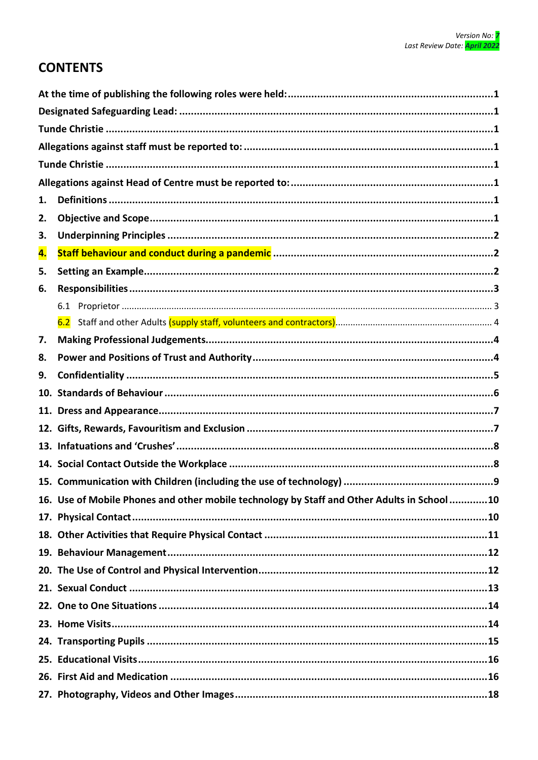# **CONTENTS**

| 1.  |                                                                                            |  |
|-----|--------------------------------------------------------------------------------------------|--|
| 2.  |                                                                                            |  |
| 3.  |                                                                                            |  |
| 4.  |                                                                                            |  |
| 5.  |                                                                                            |  |
| 6.  |                                                                                            |  |
|     |                                                                                            |  |
|     |                                                                                            |  |
| 7.  |                                                                                            |  |
| 8.  |                                                                                            |  |
| 9.  |                                                                                            |  |
| 10. |                                                                                            |  |
| 11. |                                                                                            |  |
|     |                                                                                            |  |
|     |                                                                                            |  |
|     |                                                                                            |  |
|     |                                                                                            |  |
|     | 16. Use of Mobile Phones and other mobile technology by Staff and Other Adults in School10 |  |
|     |                                                                                            |  |
|     |                                                                                            |  |
|     |                                                                                            |  |
|     |                                                                                            |  |
|     |                                                                                            |  |
|     |                                                                                            |  |
|     |                                                                                            |  |
|     |                                                                                            |  |
|     |                                                                                            |  |
|     |                                                                                            |  |
|     |                                                                                            |  |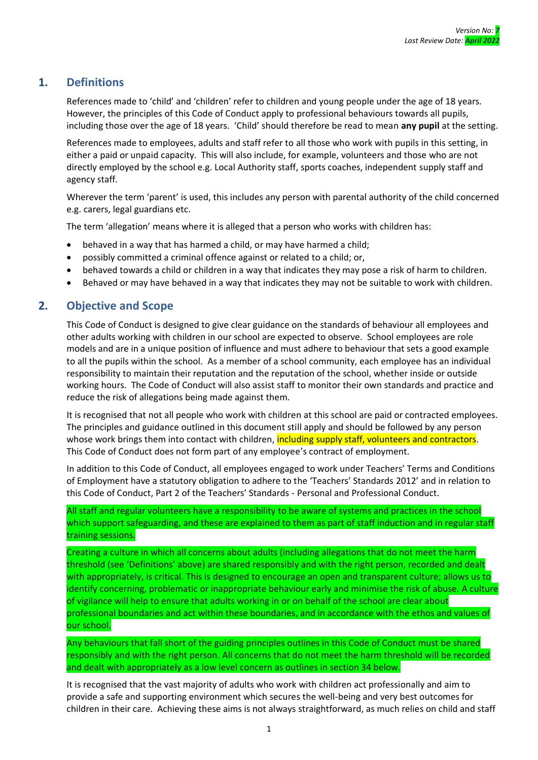# <span id="page-5-0"></span>**1. Definitions**

References made to 'child' and 'children' refer to children and young people under the age of 18 years. However, the principles of this Code of Conduct apply to professional behaviours towards all pupils, including those over the age of 18 years. 'Child' should therefore be read to mean **any pupil** at the setting.

References made to employees, adults and staff refer to all those who work with pupils in this setting, in either a paid or unpaid capacity. This will also include, for example, volunteers and those who are not directly employed by the school e.g. Local Authority staff, sports coaches, independent supply staff and agency staff.

Wherever the term 'parent' is used, this includes any person with parental authority of the child concerned e.g. carers, legal guardians etc.

The term 'allegation' means where it is alleged that a person who works with children has:

- behaved in a way that has harmed a child, or may have harmed a child;
- possibly committed a criminal offence against or related to a child; or,
- behaved towards a child or children in a way that indicates they may pose a risk of harm to children.
- Behaved or may have behaved in a way that indicates they may not be suitable to work with children.

# <span id="page-5-1"></span>**2. Objective and Scope**

This Code of Conduct is designed to give clear guidance on the standards of behaviour all employees and other adults working with children in our school are expected to observe. School employees are role models and are in a unique position of influence and must adhere to behaviour that sets a good example to all the pupils within the school. As a member of a school community, each employee has an individual responsibility to maintain their reputation and the reputation of the school, whether inside or outside working hours. The Code of Conduct will also assist staff to monitor their own standards and practice and reduce the risk of allegations being made against them.

It is recognised that not all people who work with children at this school are paid or contracted employees. The principles and guidance outlined in this document still apply and should be followed by any person whose work brings them into contact with children, including supply staff, volunteers and contractors. This Code of Conduct does not form part of any employee's contract of employment.

In addition to this Code of Conduct, all employees engaged to work under Teachers' Terms and Conditions of Employment have a statutory obligation to adhere to the 'Teachers' Standards 2012' and in relation to this Code of Conduct, Part 2 of the Teachers' Standards - Personal and Professional Conduct.

All staff and regular volunteers have a responsibility to be aware of systems and practices in the school which support safeguarding, and these are explained to them as part of staff induction and in regular staff training sessions.

Creating a culture in which all concerns about adults (including allegations that do not meet the harm threshold (see 'Definitions' above) are shared responsibly and with the right person, recorded and dealt with appropriately, is critical. This is designed to encourage an open and transparent culture; allows us to identify concerning, problematic or inappropriate behaviour early and minimise the risk of abuse. A culture of vigilance will help to ensure that adults working in or on behalf of the school are clear about professional boundaries and act within these boundaries, and in accordance with the ethos and values of our school.

Any behaviours that fall short of the guiding principles outlines in this Code of Conduct must be shared responsibly and with the right person. All concerns that do not meet the harm threshold will be recorded and dealt with appropriately as a low level concern as outlines in section 34 below.

It is recognised that the vast majority of adults who work with children act professionally and aim to provide a safe and supporting environment which secures the well-being and very best outcomes for children in their care. Achieving these aims is not always straightforward, as much relies on child and staff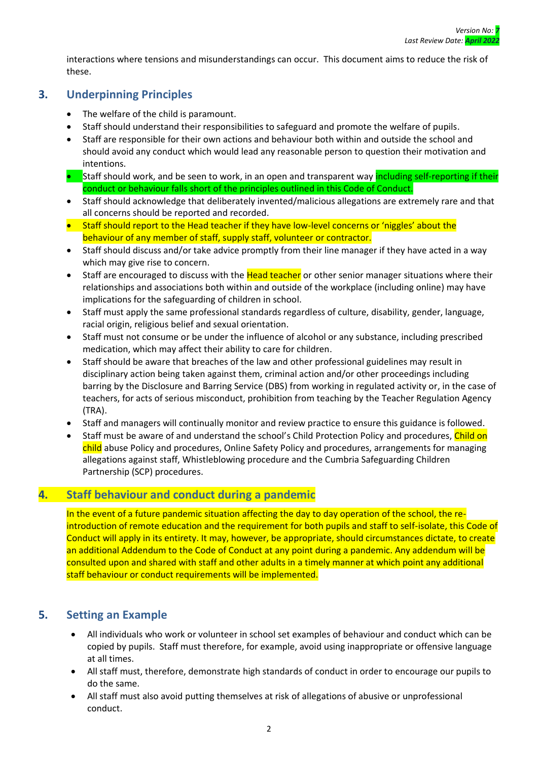interactions where tensions and misunderstandings can occur. This document aims to reduce the risk of these.

# <span id="page-6-0"></span>**3. Underpinning Principles**

- The welfare of the child is paramount.
- Staff should understand their responsibilities to safeguard and promote the welfare of pupils.
- Staff are responsible for their own actions and behaviour both within and outside the school and should avoid any conduct which would lead any reasonable person to question their motivation and intentions.
- Staff should work, and be seen to work, in an open and transparent way including self-reporting if their conduct or behaviour falls short of the principles outlined in this Code of Conduct.
- Staff should acknowledge that deliberately invented/malicious allegations are extremely rare and that all concerns should be reported and recorded.
- Staff should report to the Head teacher if they have low-level concerns or 'niggles' about the behaviour of any member of staff, supply staff, volunteer or contractor.
- Staff should discuss and/or take advice promptly from their line manager if they have acted in a way which may give rise to concern.
- Staff are encouraged to discuss with the Head teacher or other senior manager situations where their relationships and associations both within and outside of the workplace (including online) may have implications for the safeguarding of children in school.
- Staff must apply the same professional standards regardless of culture, disability, gender, language, racial origin, religious belief and sexual orientation.
- Staff must not consume or be under the influence of alcohol or any substance, including prescribed medication, which may affect their ability to care for children.
- Staff should be aware that breaches of the law and other professional guidelines may result in disciplinary action being taken against them, criminal action and/or other proceedings including barring by the Disclosure and Barring Service (DBS) from working in regulated activity or, in the case of teachers, for acts of serious misconduct, prohibition from teaching by the Teacher Regulation Agency (TRA).
- Staff and managers will continually monitor and review practice to ensure this guidance is followed.
- Staff must be aware of and understand the school's Child Protection Policy and procedures, Child on child abuse Policy and procedures, Online Safety Policy and procedures, arrangements for managing allegations against staff, Whistleblowing procedure and the Cumbria Safeguarding Children Partnership (SCP) procedures.

# <span id="page-6-1"></span>**4. Staff behaviour and conduct during a pandemic**

In the event of a future pandemic situation affecting the day to day operation of the school, the reintroduction of remote education and the requirement for both pupils and staff to self-isolate, this Code of Conduct will apply in its entirety. It may, however, be appropriate, should circumstances dictate, to create an additional Addendum to the Code of Conduct at any point during a pandemic. Any addendum will be consulted upon and shared with staff and other adults in a timely manner at which point any additional staff behaviour or conduct requirements will be implemented.

# <span id="page-6-2"></span>**5. Setting an Example**

- All individuals who work or volunteer in school set examples of behaviour and conduct which can be copied by pupils. Staff must therefore, for example, avoid using inappropriate or offensive language at all times.
- All staff must, therefore, demonstrate high standards of conduct in order to encourage our pupils to do the same.
- All staff must also avoid putting themselves at risk of allegations of abusive or unprofessional conduct.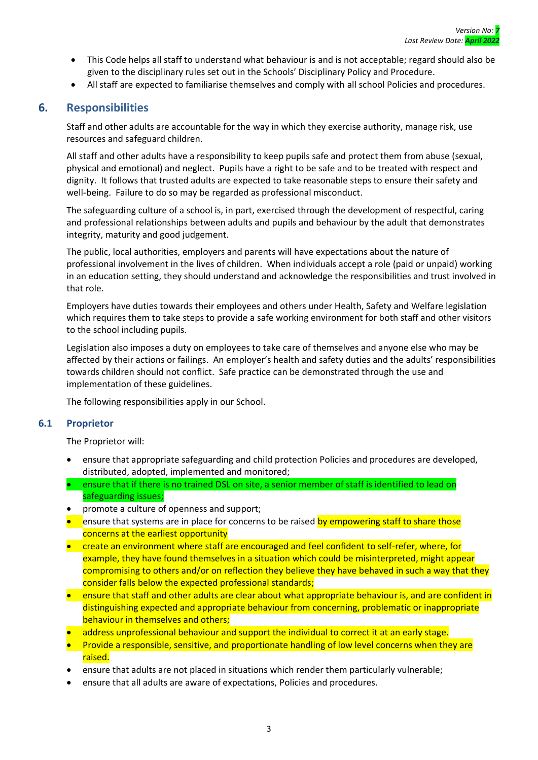- This Code helps all staff to understand what behaviour is and is not acceptable; regard should also be given to the disciplinary rules set out in the Schools' Disciplinary Policy and Procedure.
- All staff are expected to familiarise themselves and comply with all school Policies and procedures.

#### <span id="page-7-0"></span>**6. Responsibilities**

Staff and other adults are accountable for the way in which they exercise authority, manage risk, use resources and safeguard children.

All staff and other adults have a responsibility to keep pupils safe and protect them from abuse (sexual, physical and emotional) and neglect. Pupils have a right to be safe and to be treated with respect and dignity. It follows that trusted adults are expected to take reasonable steps to ensure their safety and well-being. Failure to do so may be regarded as professional misconduct.

The safeguarding culture of a school is, in part, exercised through the development of respectful, caring and professional relationships between adults and pupils and behaviour by the adult that demonstrates integrity, maturity and good judgement.

The public, local authorities, employers and parents will have expectations about the nature of professional involvement in the lives of children. When individuals accept a role (paid or unpaid) working in an education setting, they should understand and acknowledge the responsibilities and trust involved in that role.

Employers have duties towards their employees and others under Health, Safety and Welfare legislation which requires them to take steps to provide a safe working environment for both staff and other visitors to the school including pupils.

Legislation also imposes a duty on employees to take care of themselves and anyone else who may be affected by their actions or failings. An employer's health and safety duties and the adults' responsibilities towards children should not conflict. Safe practice can be demonstrated through the use and implementation of these guidelines.

The following responsibilities apply in our School.

#### <span id="page-7-1"></span>**6.1 Proprietor**

The Proprietor will:

- ensure that appropriate safeguarding and child protection Policies and procedures are developed, distributed, adopted, implemented and monitored;
- ensure that if there is no trained DSL on site, a senior member of staff is identified to lead on safeguarding issues;
- promote a culture of openness and support;
- ensure that systems are in place for concerns to be raised by empowering staff to share those concerns at the earliest opportunity
- create an environment where staff are encouraged and feel confident to self-refer, where, for example, they have found themselves in a situation which could be misinterpreted, might appear compromising to others and/or on reflection they believe they have behaved in such a way that they consider falls below the expected professional standards;
- ensure that staff and other adults are clear about what appropriate behaviour is, and are confident in distinguishing expected and appropriate behaviour from concerning, problematic or inappropriate behaviour in themselves and others;
- address unprofessional behaviour and support the individual to correct it at an early stage.
- Provide a responsible, sensitive, and proportionate handling of low level concerns when they are raised.
- ensure that adults are not placed in situations which render them particularly vulnerable;
- ensure that all adults are aware of expectations, Policies and procedures.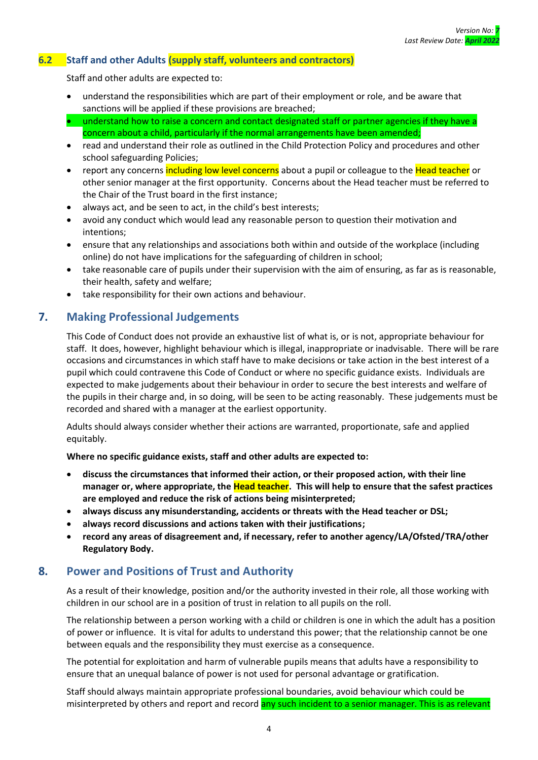#### <span id="page-8-0"></span>**6.2 Staff and other Adults (supply staff, volunteers and contractors)**

Staff and other adults are expected to:

- understand the responsibilities which are part of their employment or role, and be aware that sanctions will be applied if these provisions are breached;
- understand how to raise a concern and contact designated staff or partner agencies if they have a concern about a child, particularly if the normal arrangements have been amended;
- read and understand their role as outlined in the Child Protection Policy and procedures and other school safeguarding Policies;
- report any concerns including low level concerns about a pupil or colleague to the Head teacher or other senior manager at the first opportunity. Concerns about the Head teacher must be referred to the Chair of the Trust board in the first instance;
- always act, and be seen to act, in the child's best interests;
- avoid any conduct which would lead any reasonable person to question their motivation and intentions;
- ensure that any relationships and associations both within and outside of the workplace (including online) do not have implications for the safeguarding of children in school;
- take reasonable care of pupils under their supervision with the aim of ensuring, as far as is reasonable, their health, safety and welfare;
- take responsibility for their own actions and behaviour.

# <span id="page-8-1"></span>**7. Making Professional Judgements**

This Code of Conduct does not provide an exhaustive list of what is, or is not, appropriate behaviour for staff. It does, however, highlight behaviour which is illegal, inappropriate or inadvisable. There will be rare occasions and circumstances in which staff have to make decisions or take action in the best interest of a pupil which could contravene this Code of Conduct or where no specific guidance exists. Individuals are expected to make judgements about their behaviour in order to secure the best interests and welfare of the pupils in their charge and, in so doing, will be seen to be acting reasonably. These judgements must be recorded and shared with a manager at the earliest opportunity.

Adults should always consider whether their actions are warranted, proportionate, safe and applied equitably.

**Where no specific guidance exists, staff and other adults are expected to:**

- **discuss the circumstances that informed their action, or their proposed action, with their line manager or, where appropriate, the Head teacher. This will help to ensure that the safest practices are employed and reduce the risk of actions being misinterpreted;**
- **always discuss any misunderstanding, accidents or threats with the Head teacher or DSL;**
- **always record discussions and actions taken with their justifications;**
- **record any areas of disagreement and, if necessary, refer to another agency/LA/Ofsted/TRA/other Regulatory Body.**

# <span id="page-8-2"></span>**8. Power and Positions of Trust and Authority**

As a result of their knowledge, position and/or the authority invested in their role, all those working with children in our school are in a position of trust in relation to all pupils on the roll.

The relationship between a person working with a child or children is one in which the adult has a position of power or influence. It is vital for adults to understand this power; that the relationship cannot be one between equals and the responsibility they must exercise as a consequence.

The potential for exploitation and harm of vulnerable pupils means that adults have a responsibility to ensure that an unequal balance of power is not used for personal advantage or gratification.

Staff should always maintain appropriate professional boundaries, avoid behaviour which could be misinterpreted by others and report and record any such incident to a senior manager. This is as relevant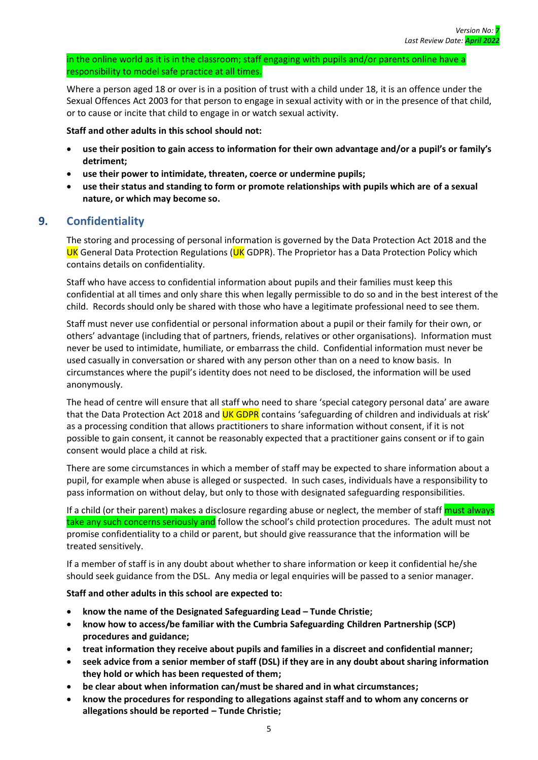in the online world as it is in the classroom; staff engaging with pupils and/or parents online have a responsibility to model safe practice at all times.

Where a person aged 18 or over is in a position of trust with a child under 18, it is an offence under the Sexual Offences Act 2003 for that person to engage in sexual activity with or in the presence of that child, or to cause or incite that child to engage in or watch sexual activity.

**Staff and other adults in this school should not:**

- **use their position to gain access to information for their own advantage and/or a pupil's or family's detriment;**
- **use their power to intimidate, threaten, coerce or undermine pupils;**
- **use their status and standing to form or promote relationships with pupils which are of a sexual nature, or which may become so.**

# <span id="page-9-0"></span>**9. Confidentiality**

The storing and processing of personal information is governed by the Data Protection Act 2018 and the UK General Data Protection Regulations (UK GDPR). The Proprietor has a Data Protection Policy which contains details on confidentiality.

Staff who have access to confidential information about pupils and their families must keep this confidential at all times and only share this when legally permissible to do so and in the best interest of the child. Records should only be shared with those who have a legitimate professional need to see them.

Staff must never use confidential or personal information about a pupil or their family for their own, or others' advantage (including that of partners, friends, relatives or other organisations). Information must never be used to intimidate, humiliate, or embarrass the child. Confidential information must never be used casually in conversation or shared with any person other than on a need to know basis. In circumstances where the pupil's identity does not need to be disclosed, the information will be used anonymously.

The head of centre will ensure that all staff who need to share 'special category personal data' are aware that the Data Protection Act 2018 and UK GDPR contains 'safeguarding of children and individuals at risk' as a processing condition that allows practitioners to share information without consent, if it is not possible to gain consent, it cannot be reasonably expected that a practitioner gains consent or if to gain consent would place a child at risk.

There are some circumstances in which a member of staff may be expected to share information about a pupil, for example when abuse is alleged or suspected. In such cases, individuals have a responsibility to pass information on without delay, but only to those with designated safeguarding responsibilities.

If a child (or their parent) makes a disclosure regarding abuse or neglect, the member of staff must always take any such concerns seriously and follow the school's child protection procedures. The adult must not promise confidentiality to a child or parent, but should give reassurance that the information will be treated sensitively.

If a member of staff is in any doubt about whether to share information or keep it confidential he/she should seek guidance from the DSL. Any media or legal enquiries will be passed to a senior manager.

- **know the name of the Designated Safeguarding Lead – Tunde Christie;**
- **know how to access/be familiar with the Cumbria Safeguarding Children Partnership (SCP) procedures and guidance;**
- **treat information they receive about pupils and families in a discreet and confidential manner;**
- **seek advice from a senior member of staff (DSL) if they are in any doubt about sharing information they hold or which has been requested of them;**
- **be clear about when information can/must be shared and in what circumstances;**
- **know the procedures for responding to allegations against staff and to whom any concerns or allegations should be reported – Tunde Christie;**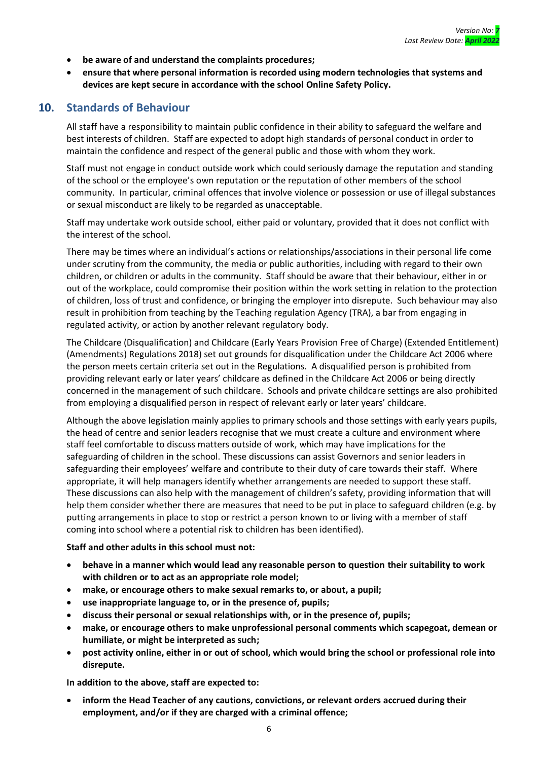- **be aware of and understand the complaints procedures;**
- **ensure that where personal information is recorded using modern technologies that systems and devices are kept secure in accordance with the school Online Safety Policy.**

#### <span id="page-10-0"></span>**10. Standards of Behaviour**

All staff have a responsibility to maintain public confidence in their ability to safeguard the welfare and best interests of children. Staff are expected to adopt high standards of personal conduct in order to maintain the confidence and respect of the general public and those with whom they work.

Staff must not engage in conduct outside work which could seriously damage the reputation and standing of the school or the employee's own reputation or the reputation of other members of the school community. In particular, criminal offences that involve violence or possession or use of illegal substances or sexual misconduct are likely to be regarded as unacceptable.

Staff may undertake work outside school, either paid or voluntary, provided that it does not conflict with the interest of the school.

There may be times where an individual's actions or relationships/associations in their personal life come under scrutiny from the community, the media or public authorities, including with regard to their own children, or children or adults in the community. Staff should be aware that their behaviour, either in or out of the workplace, could compromise their position within the work setting in relation to the protection of children, loss of trust and confidence, or bringing the employer into disrepute. Such behaviour may also result in prohibition from teaching by the Teaching regulation Agency (TRA), a bar from engaging in regulated activity, or action by another relevant regulatory body.

The Childcare (Disqualification) and Childcare (Early Years Provision Free of Charge) (Extended Entitlement) (Amendments) Regulations 2018) set out grounds for disqualification under the Childcare Act 2006 where the person meets certain criteria set out in the Regulations. A disqualified person is prohibited from providing relevant early or later years' childcare as defined in the Childcare Act 2006 or being directly concerned in the management of such childcare. Schools and private childcare settings are also prohibited from employing a disqualified person in respect of relevant early or later years' childcare.

Although the above legislation mainly applies to primary schools and those settings with early years pupils, the head of centre and senior leaders recognise that we must create a culture and environment where staff feel comfortable to discuss matters outside of work, which may have implications for the safeguarding of children in the school. These discussions can assist Governors and senior leaders in safeguarding their employees' welfare and contribute to their duty of care towards their staff. Where appropriate, it will help managers identify whether arrangements are needed to support these staff. These discussions can also help with the management of children's safety, providing information that will help them consider whether there are measures that need to be put in place to safeguard children (e.g. by putting arrangements in place to stop or restrict a person known to or living with a member of staff coming into school where a potential risk to children has been identified).

#### **Staff and other adults in this school must not:**

- **behave in a manner which would lead any reasonable person to question their suitability to work with children or to act as an appropriate role model;**
- **make, or encourage others to make sexual remarks to, or about, a pupil;**
- **use inappropriate language to, or in the presence of, pupils;**
- **discuss their personal or sexual relationships with, or in the presence of, pupils;**
- **make, or encourage others to make unprofessional personal comments which scapegoat, demean or humiliate, or might be interpreted as such;**
- **post activity online, either in or out of school, which would bring the school or professional role into disrepute.**

**In addition to the above, staff are expected to:**

• **inform the Head Teacher of any cautions, convictions, or relevant orders accrued during their employment, and/or if they are charged with a criminal offence;**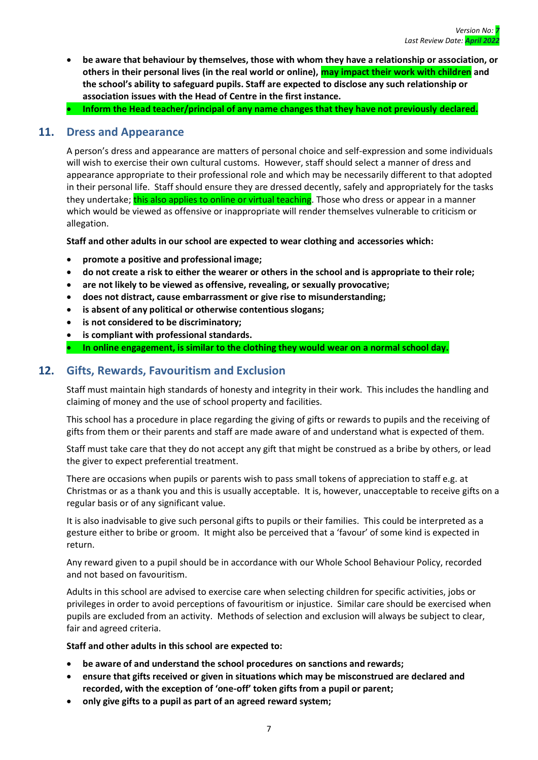- **be aware that behaviour by themselves, those with whom they have a relationship or association, or others in their personal lives (in the real world or online), may impact their work with children and the school's ability to safeguard pupils. Staff are expected to disclose any such relationship or association issues with the Head of Centre in the first instance.**
- **Inform the Head teacher/principal of any name changes that they have not previously declared.**

#### <span id="page-11-0"></span>**11. Dress and Appearance**

A person's dress and appearance are matters of personal choice and self-expression and some individuals will wish to exercise their own cultural customs. However, staff should select a manner of dress and appearance appropriate to their professional role and which may be necessarily different to that adopted in their personal life. Staff should ensure they are dressed decently, safely and appropriately for the tasks they undertake; this also applies to online or virtual teaching. Those who dress or appear in a manner which would be viewed as offensive or inappropriate will render themselves vulnerable to criticism or allegation.

**Staff and other adults in our school are expected to wear clothing and accessories which:**

- **promote a positive and professional image;**
- **do not create a risk to either the wearer or others in the school and is appropriate to their role;**
- **are not likely to be viewed as offensive, revealing, or sexually provocative;**
- **does not distract, cause embarrassment or give rise to misunderstanding;**
- **is absent of any political or otherwise contentious slogans;**
- **is not considered to be discriminatory;**
- **is compliant with professional standards.**

• **In online engagement, is similar to the clothing they would wear on a normal school day.**

# <span id="page-11-1"></span>**12. Gifts, Rewards, Favouritism and Exclusion**

Staff must maintain high standards of honesty and integrity in their work. This includes the handling and claiming of money and the use of school property and facilities.

This school has a procedure in place regarding the giving of gifts or rewards to pupils and the receiving of gifts from them or their parents and staff are made aware of and understand what is expected of them.

Staff must take care that they do not accept any gift that might be construed as a bribe by others, or lead the giver to expect preferential treatment.

There are occasions when pupils or parents wish to pass small tokens of appreciation to staff e.g. at Christmas or as a thank you and this is usually acceptable. It is, however, unacceptable to receive gifts on a regular basis or of any significant value.

It is also inadvisable to give such personal gifts to pupils or their families. This could be interpreted as a gesture either to bribe or groom. It might also be perceived that a 'favour' of some kind is expected in return.

Any reward given to a pupil should be in accordance with our Whole School Behaviour Policy, recorded and not based on favouritism.

Adults in this school are advised to exercise care when selecting children for specific activities, jobs or privileges in order to avoid perceptions of favouritism or injustice. Similar care should be exercised when pupils are excluded from an activity. Methods of selection and exclusion will always be subject to clear, fair and agreed criteria.

- **be aware of and understand the school procedures on sanctions and rewards;**
- **ensure that gifts received or given in situations which may be misconstrued are declared and recorded, with the exception of 'one-off' token gifts from a pupil or parent;**
- **only give gifts to a pupil as part of an agreed reward system;**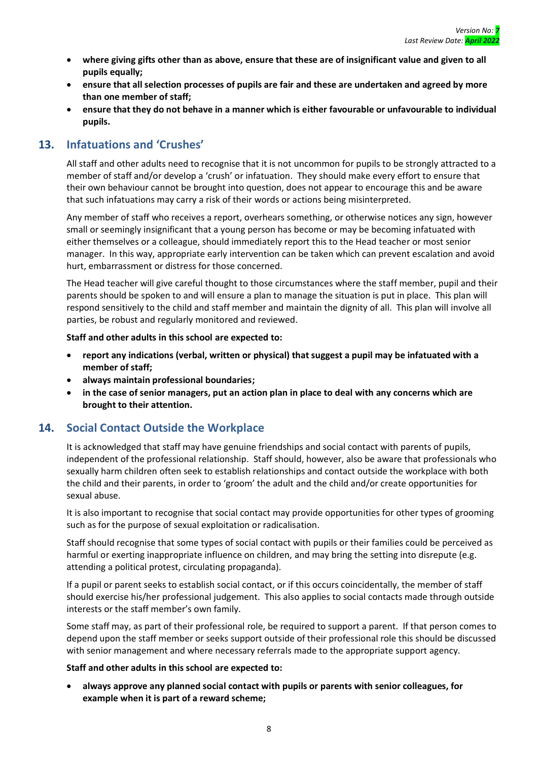- **where giving gifts other than as above, ensure that these are of insignificant value and given to all pupils equally;**
- **ensure that all selection processes of pupils are fair and these are undertaken and agreed by more than one member of staff;**
- **ensure that they do not behave in a manner which is either favourable or unfavourable to individual pupils.**

# <span id="page-12-0"></span>**13. Infatuations and 'Crushes'**

All staff and other adults need to recognise that it is not uncommon for pupils to be strongly attracted to a member of staff and/or develop a 'crush' or infatuation. They should make every effort to ensure that their own behaviour cannot be brought into question, does not appear to encourage this and be aware that such infatuations may carry a risk of their words or actions being misinterpreted.

Any member of staff who receives a report, overhears something, or otherwise notices any sign, however small or seemingly insignificant that a young person has become or may be becoming infatuated with either themselves or a colleague, should immediately report this to the Head teacher or most senior manager. In this way, appropriate early intervention can be taken which can prevent escalation and avoid hurt, embarrassment or distress for those concerned.

The Head teacher will give careful thought to those circumstances where the staff member, pupil and their parents should be spoken to and will ensure a plan to manage the situation is put in place. This plan will respond sensitively to the child and staff member and maintain the dignity of all. This plan will involve all parties, be robust and regularly monitored and reviewed.

#### **Staff and other adults in this school are expected to:**

- **report any indications (verbal, written or physical) that suggest a pupil may be infatuated with a member of staff;**
- **always maintain professional boundaries;**
- **in the case of senior managers, put an action plan in place to deal with any concerns which are brought to their attention.**

#### <span id="page-12-1"></span>**14. Social Contact Outside the Workplace**

It is acknowledged that staff may have genuine friendships and social contact with parents of pupils, independent of the professional relationship. Staff should, however, also be aware that professionals who sexually harm children often seek to establish relationships and contact outside the workplace with both the child and their parents, in order to 'groom' the adult and the child and/or create opportunities for sexual abuse.

It is also important to recognise that social contact may provide opportunities for other types of grooming such as for the purpose of sexual exploitation or radicalisation.

Staff should recognise that some types of social contact with pupils or their families could be perceived as harmful or exerting inappropriate influence on children, and may bring the setting into disrepute (e.g. attending a political protest, circulating propaganda).

If a pupil or parent seeks to establish social contact, or if this occurs coincidentally, the member of staff should exercise his/her professional judgement. This also applies to social contacts made through outside interests or the staff member's own family.

Some staff may, as part of their professional role, be required to support a parent. If that person comes to depend upon the staff member or seeks support outside of their professional role this should be discussed with senior management and where necessary referrals made to the appropriate support agency.

#### **Staff and other adults in this school are expected to:**

• **always approve any planned social contact with pupils or parents with senior colleagues, for example when it is part of a reward scheme;**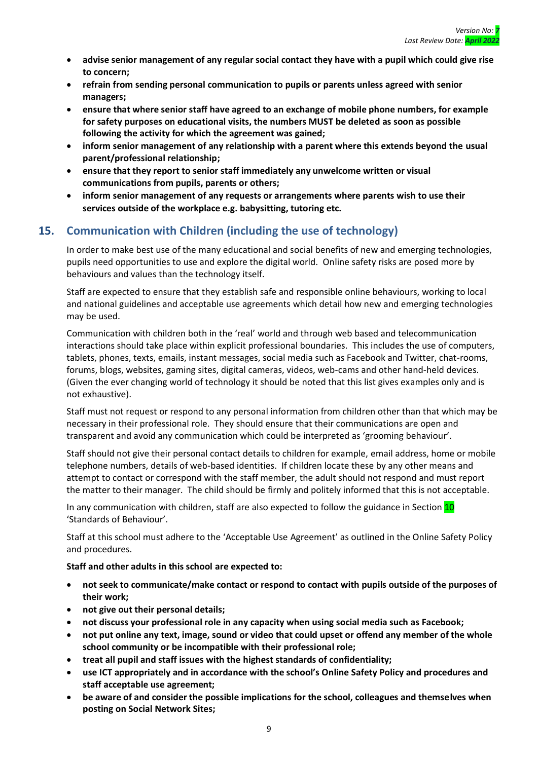- **advise senior management of any regular social contact they have with a pupil which could give rise to concern;**
- **refrain from sending personal communication to pupils or parents unless agreed with senior managers;**
- **ensure that where senior staff have agreed to an exchange of mobile phone numbers, for example for safety purposes on educational visits, the numbers MUST be deleted as soon as possible following the activity for which the agreement was gained;**
- **inform senior management of any relationship with a parent where this extends beyond the usual parent/professional relationship;**
- **ensure that they report to senior staff immediately any unwelcome written or visual communications from pupils, parents or others;**
- **inform senior management of any requests or arrangements where parents wish to use their services outside of the workplace e.g. babysitting, tutoring etc.**

# <span id="page-13-0"></span>**15. Communication with Children (including the use of technology)**

In order to make best use of the many educational and social benefits of new and emerging technologies, pupils need opportunities to use and explore the digital world. Online safety risks are posed more by behaviours and values than the technology itself.

Staff are expected to ensure that they establish safe and responsible online behaviours, working to local and national guidelines and acceptable use agreements which detail how new and emerging technologies may be used.

Communication with children both in the 'real' world and through web based and telecommunication interactions should take place within explicit professional boundaries. This includes the use of computers, tablets, phones, texts, emails, instant messages, social media such as Facebook and Twitter, chat-rooms, forums, blogs, websites, gaming sites, digital cameras, videos, web-cams and other hand-held devices. (Given the ever changing world of technology it should be noted that this list gives examples only and is not exhaustive).

Staff must not request or respond to any personal information from children other than that which may be necessary in their professional role. They should ensure that their communications are open and transparent and avoid any communication which could be interpreted as 'grooming behaviour'.

Staff should not give their personal contact details to children for example, email address, home or mobile telephone numbers, details of web-based identities. If children locate these by any other means and attempt to contact or correspond with the staff member, the adult should not respond and must report the matter to their manager. The child should be firmly and politely informed that this is not acceptable.

In any communication with children, staff are also expected to follow the guidance in Section 10 'Standards of Behaviour'.

Staff at this school must adhere to the 'Acceptable Use Agreement' as outlined in the Online Safety Policy and procedures.

- **not seek to communicate/make contact or respond to contact with pupils outside of the purposes of their work;**
- **not give out their personal details;**
- **not discuss your professional role in any capacity when using social media such as Facebook;**
- **not put online any text, image, sound or video that could upset or offend any member of the whole school community or be incompatible with their professional role;**
- **treat all pupil and staff issues with the highest standards of confidentiality;**
- **use ICT appropriately and in accordance with the school's Online Safety Policy and procedures and staff acceptable use agreement;**
- **be aware of and consider the possible implications for the school, colleagues and themselves when posting on Social Network Sites;**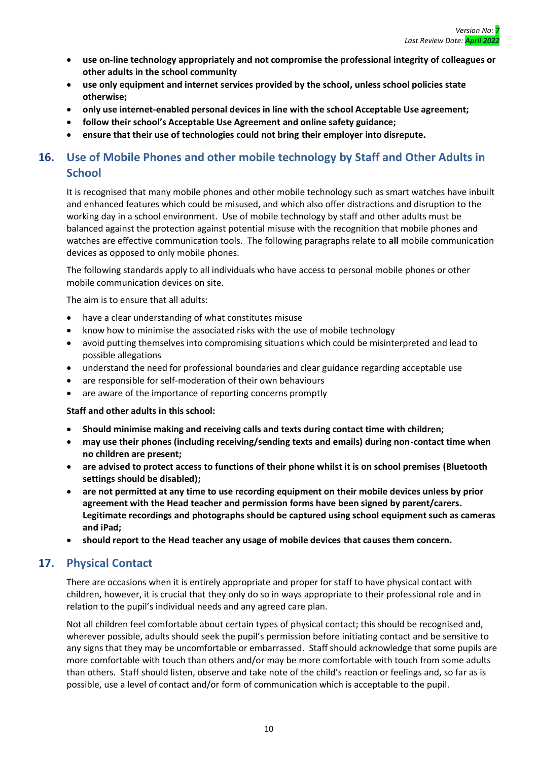- **use on-line technology appropriately and not compromise the professional integrity of colleagues or other adults in the school community**
- **use only equipment and internet services provided by the school, unless school policies state otherwise;**
- **only use internet-enabled personal devices in line with the school Acceptable Use agreement;**
- **follow their school's Acceptable Use Agreement and online safety guidance;**
- **ensure that their use of technologies could not bring their employer into disrepute.**

# <span id="page-14-0"></span>**16. Use of Mobile Phones and other mobile technology by Staff and Other Adults in School**

It is recognised that many mobile phones and other mobile technology such as smart watches have inbuilt and enhanced features which could be misused, and which also offer distractions and disruption to the working day in a school environment. Use of mobile technology by staff and other adults must be balanced against the protection against potential misuse with the recognition that mobile phones and watches are effective communication tools. The following paragraphs relate to **all** mobile communication devices as opposed to only mobile phones.

The following standards apply to all individuals who have access to personal mobile phones or other mobile communication devices on site.

The aim is to ensure that all adults:

- have a clear understanding of what constitutes misuse
- know how to minimise the associated risks with the use of mobile technology
- avoid putting themselves into compromising situations which could be misinterpreted and lead to possible allegations
- understand the need for professional boundaries and clear guidance regarding acceptable use
- are responsible for self-moderation of their own behaviours
- are aware of the importance of reporting concerns promptly

**Staff and other adults in this school:**

- **Should minimise making and receiving calls and texts during contact time with children;**
- **may use their phones (including receiving/sending texts and emails) during non-contact time when no children are present;**
- **are advised to protect access to functions of their phone whilst it is on school premises (Bluetooth settings should be disabled);**
- **are not permitted at any time to use recording equipment on their mobile devices unless by prior agreement with the Head teacher and permission forms have been signed by parent/carers. Legitimate recordings and photographs should be captured using school equipment such as cameras and iPad;**
- **should report to the Head teacher any usage of mobile devices that causes them concern.**

# <span id="page-14-1"></span>**17. Physical Contact**

There are occasions when it is entirely appropriate and proper for staff to have physical contact with children, however, it is crucial that they only do so in ways appropriate to their professional role and in relation to the pupil's individual needs and any agreed care plan.

Not all children feel comfortable about certain types of physical contact; this should be recognised and, wherever possible, adults should seek the pupil's permission before initiating contact and be sensitive to any signs that they may be uncomfortable or embarrassed. Staff should acknowledge that some pupils are more comfortable with touch than others and/or may be more comfortable with touch from some adults than others. Staff should listen, observe and take note of the child's reaction or feelings and, so far as is possible, use a level of contact and/or form of communication which is acceptable to the pupil.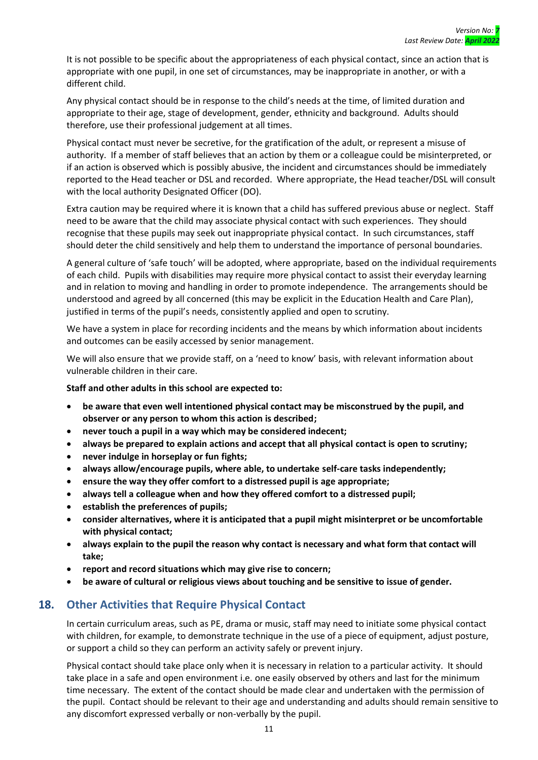It is not possible to be specific about the appropriateness of each physical contact, since an action that is appropriate with one pupil, in one set of circumstances, may be inappropriate in another, or with a different child.

Any physical contact should be in response to the child's needs at the time, of limited duration and appropriate to their age, stage of development, gender, ethnicity and background. Adults should therefore, use their professional judgement at all times.

Physical contact must never be secretive, for the gratification of the adult, or represent a misuse of authority. If a member of staff believes that an action by them or a colleague could be misinterpreted, or if an action is observed which is possibly abusive, the incident and circumstances should be immediately reported to the Head teacher or DSL and recorded. Where appropriate, the Head teacher/DSL will consult with the local authority Designated Officer (DO).

Extra caution may be required where it is known that a child has suffered previous abuse or neglect. Staff need to be aware that the child may associate physical contact with such experiences. They should recognise that these pupils may seek out inappropriate physical contact. In such circumstances, staff should deter the child sensitively and help them to understand the importance of personal boundaries.

A general culture of 'safe touch' will be adopted, where appropriate, based on the individual requirements of each child. Pupils with disabilities may require more physical contact to assist their everyday learning and in relation to moving and handling in order to promote independence. The arrangements should be understood and agreed by all concerned (this may be explicit in the Education Health and Care Plan), justified in terms of the pupil's needs, consistently applied and open to scrutiny.

We have a system in place for recording incidents and the means by which information about incidents and outcomes can be easily accessed by senior management.

We will also ensure that we provide staff, on a 'need to know' basis, with relevant information about vulnerable children in their care.

**Staff and other adults in this school are expected to:**

- **be aware that even well intentioned physical contact may be misconstrued by the pupil, and observer or any person to whom this action is described;**
- **never touch a pupil in a way which may be considered indecent;**
- **always be prepared to explain actions and accept that all physical contact is open to scrutiny;**
- **never indulge in horseplay or fun fights;**
- **always allow/encourage pupils, where able, to undertake self-care tasks independently;**
- **ensure the way they offer comfort to a distressed pupil is age appropriate;**
- **always tell a colleague when and how they offered comfort to a distressed pupil;**
- **establish the preferences of pupils;**
- **consider alternatives, where it is anticipated that a pupil might misinterpret or be uncomfortable with physical contact;**
- **always explain to the pupil the reason why contact is necessary and what form that contact will take;**
- **report and record situations which may give rise to concern;**
- **be aware of cultural or religious views about touching and be sensitive to issue of gender.**

#### <span id="page-15-0"></span>**18. Other Activities that Require Physical Contact**

In certain curriculum areas, such as PE, drama or music, staff may need to initiate some physical contact with children, for example, to demonstrate technique in the use of a piece of equipment, adjust posture, or support a child so they can perform an activity safely or prevent injury.

Physical contact should take place only when it is necessary in relation to a particular activity. It should take place in a safe and open environment i.e. one easily observed by others and last for the minimum time necessary. The extent of the contact should be made clear and undertaken with the permission of the pupil. Contact should be relevant to their age and understanding and adults should remain sensitive to any discomfort expressed verbally or non-verbally by the pupil.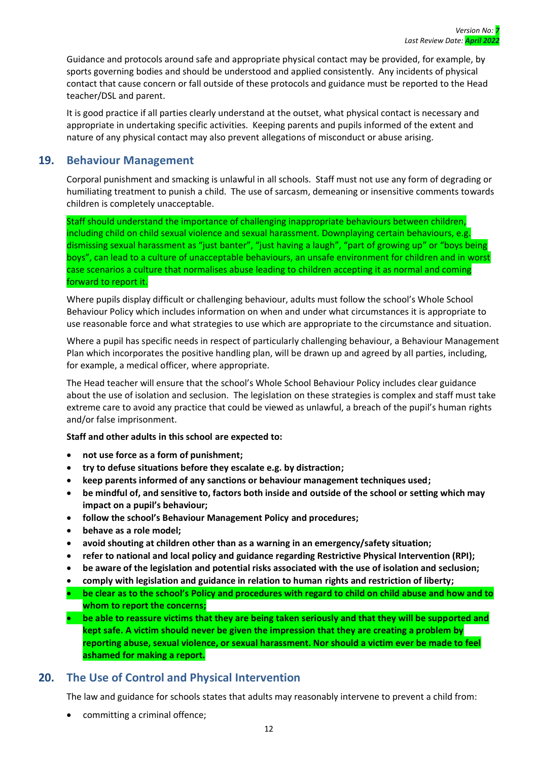Guidance and protocols around safe and appropriate physical contact may be provided, for example, by sports governing bodies and should be understood and applied consistently. Any incidents of physical contact that cause concern or fall outside of these protocols and guidance must be reported to the Head teacher/DSL and parent.

It is good practice if all parties clearly understand at the outset, what physical contact is necessary and appropriate in undertaking specific activities. Keeping parents and pupils informed of the extent and nature of any physical contact may also prevent allegations of misconduct or abuse arising.

#### <span id="page-16-0"></span>**19. Behaviour Management**

Corporal punishment and smacking is unlawful in all schools. Staff must not use any form of degrading or humiliating treatment to punish a child. The use of sarcasm, demeaning or insensitive comments towards children is completely unacceptable.

Staff should understand the importance of challenging inappropriate behaviours between children, including child on child sexual violence and sexual harassment. Downplaying certain behaviours, e.g. dismissing sexual harassment as "just banter", "just having a laugh", "part of growing up" or "boys being boys", can lead to a culture of unacceptable behaviours, an unsafe environment for children and in worst case scenarios a culture that normalises abuse leading to children accepting it as normal and coming forward to report it.

Where pupils display difficult or challenging behaviour, adults must follow the school's Whole School Behaviour Policy which includes information on when and under what circumstances it is appropriate to use reasonable force and what strategies to use which are appropriate to the circumstance and situation.

Where a pupil has specific needs in respect of particularly challenging behaviour, a Behaviour Management Plan which incorporates the positive handling plan, will be drawn up and agreed by all parties, including, for example, a medical officer, where appropriate.

The Head teacher will ensure that the school's Whole School Behaviour Policy includes clear guidance about the use of isolation and seclusion. The legislation on these strategies is complex and staff must take extreme care to avoid any practice that could be viewed as unlawful, a breach of the pupil's human rights and/or false imprisonment.

**Staff and other adults in this school are expected to:**

- **not use force as a form of punishment;**
- **try to defuse situations before they escalate e.g. by distraction;**
- **keep parents informed of any sanctions or behaviour management techniques used;**
- **be mindful of, and sensitive to, factors both inside and outside of the school or setting which may impact on a pupil's behaviour;**
- **follow the school's Behaviour Management Policy and procedures;**
- **behave as a role model;**
- **avoid shouting at children other than as a warning in an emergency/safety situation;**
- **refer to national and local policy and guidance regarding Restrictive Physical Intervention (RPI);**
- **be aware of the legislation and potential risks associated with the use of isolation and seclusion;**
- **comply with legislation and guidance in relation to human rights and restriction of liberty;**
- **be clear as to the school's Policy and procedures with regard to child on child abuse and how and to whom to report the concerns;**
- **be able to reassure victims that they are being taken seriously and that they will be supported and kept safe. A victim should never be given the impression that they are creating a problem by reporting abuse, sexual violence, or sexual harassment. Nor should a victim ever be made to feel ashamed for making a report.**

# <span id="page-16-1"></span>**20. The Use of Control and Physical Intervention**

The law and guidance for schools states that adults may reasonably intervene to prevent a child from:

• committing a criminal offence;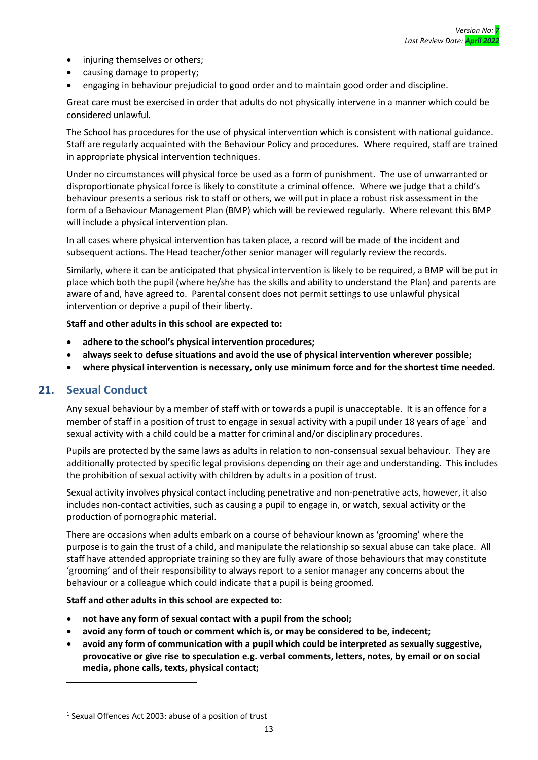- injuring themselves or others;
- causing damage to property;
- engaging in behaviour prejudicial to good order and to maintain good order and discipline.

Great care must be exercised in order that adults do not physically intervene in a manner which could be considered unlawful.

The School has procedures for the use of physical intervention which is consistent with national guidance. Staff are regularly acquainted with the Behaviour Policy and procedures. Where required, staff are trained in appropriate physical intervention techniques.

Under no circumstances will physical force be used as a form of punishment. The use of unwarranted or disproportionate physical force is likely to constitute a criminal offence. Where we judge that a child's behaviour presents a serious risk to staff or others, we will put in place a robust risk assessment in the form of a Behaviour Management Plan (BMP) which will be reviewed regularly. Where relevant this BMP will include a physical intervention plan.

In all cases where physical intervention has taken place, a record will be made of the incident and subsequent actions. The Head teacher/other senior manager will regularly review the records.

Similarly, where it can be anticipated that physical intervention is likely to be required, a BMP will be put in place which both the pupil (where he/she has the skills and ability to understand the Plan) and parents are aware of and, have agreed to. Parental consent does not permit settings to use unlawful physical intervention or deprive a pupil of their liberty.

**Staff and other adults in this school are expected to:**

- **adhere to the school's physical intervention procedures;**
- **always seek to defuse situations and avoid the use of physical intervention wherever possible;**
- **where physical intervention is necessary, only use minimum force and for the shortest time needed.**

# <span id="page-17-0"></span>**21. Sexual Conduct**

Any sexual behaviour by a member of staff with or towards a pupil is unacceptable. It is an offence for a member of staff in a position of trust to engage in sexual activity with a pupil under 18 years of age<sup>1</sup> and sexual activity with a child could be a matter for criminal and/or disciplinary procedures.

Pupils are protected by the same laws as adults in relation to non-consensual sexual behaviour. They are additionally protected by specific legal provisions depending on their age and understanding. This includes the prohibition of sexual activity with children by adults in a position of trust.

Sexual activity involves physical contact including penetrative and non-penetrative acts, however, it also includes non-contact activities, such as causing a pupil to engage in, or watch, sexual activity or the production of pornographic material.

There are occasions when adults embark on a course of behaviour known as 'grooming' where the purpose is to gain the trust of a child, and manipulate the relationship so sexual abuse can take place. All staff have attended appropriate training so they are fully aware of those behaviours that may constitute 'grooming' and of their responsibility to always report to a senior manager any concerns about the behaviour or a colleague which could indicate that a pupil is being groomed.

- **not have any form of sexual contact with a pupil from the school;**
- **avoid any form of touch or comment which is, or may be considered to be, indecent;**
- **avoid any form of communication with a pupil which could be interpreted as sexually suggestive, provocative or give rise to speculation e.g. verbal comments, letters, notes, by email or on social media, phone calls, texts, physical contact;**

<sup>1</sup> Sexual Offences Act 2003: abuse of a position of trust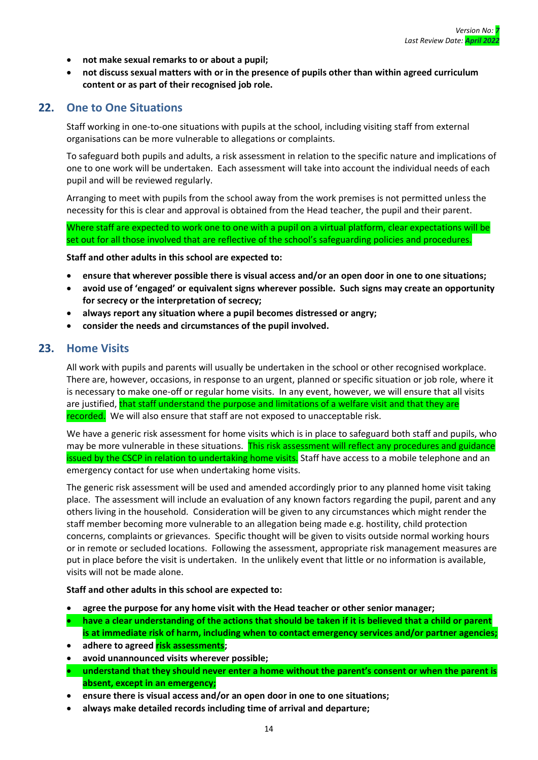- **not make sexual remarks to or about a pupil;**
- **not discuss sexual matters with or in the presence of pupils other than within agreed curriculum content or as part of their recognised job role.**

#### <span id="page-18-0"></span>**22. One to One Situations**

Staff working in one-to-one situations with pupils at the school, including visiting staff from external organisations can be more vulnerable to allegations or complaints.

To safeguard both pupils and adults, a risk assessment in relation to the specific nature and implications of one to one work will be undertaken. Each assessment will take into account the individual needs of each pupil and will be reviewed regularly.

Arranging to meet with pupils from the school away from the work premises is not permitted unless the necessity for this is clear and approval is obtained from the Head teacher, the pupil and their parent.

Where staff are expected to work one to one with a pupil on a virtual platform, clear expectations will be set out for all those involved that are reflective of the school's safeguarding policies and procedures.

**Staff and other adults in this school are expected to:**

- **ensure that wherever possible there is visual access and/or an open door in one to one situations;**
- **avoid use of 'engaged' or equivalent signs wherever possible. Such signs may create an opportunity for secrecy or the interpretation of secrecy;**
- **always report any situation where a pupil becomes distressed or angry;**
- **consider the needs and circumstances of the pupil involved.**

#### <span id="page-18-1"></span>**23. Home Visits**

All work with pupils and parents will usually be undertaken in the school or other recognised workplace. There are, however, occasions, in response to an urgent, planned or specific situation or job role, where it is necessary to make one-off or regular home visits. In any event, however, we will ensure that all visits are justified, that staff understand the purpose and limitations of a welfare visit and that they are recorded. We will also ensure that staff are not exposed to unacceptable risk.

We have a generic risk assessment for home visits which is in place to safeguard both staff and pupils, who may be more vulnerable in these situations. This risk assessment will reflect any procedures and guidance issued by the CSCP in relation to undertaking home visits. Staff have access to a mobile telephone and an emergency contact for use when undertaking home visits.

The generic risk assessment will be used and amended accordingly prior to any planned home visit taking place. The assessment will include an evaluation of any known factors regarding the pupil, parent and any others living in the household. Consideration will be given to any circumstances which might render the staff member becoming more vulnerable to an allegation being made e.g. hostility, child protection concerns, complaints or grievances. Specific thought will be given to visits outside normal working hours or in remote or secluded locations. Following the assessment, appropriate risk management measures are put in place before the visit is undertaken. In the unlikely event that little or no information is available, visits will not be made alone.

- **agree the purpose for any home visit with the Head teacher or other senior manager;**
- **have a clear understanding of the actions that should be taken if it is believed that a child or parent is at immediate risk of harm, including when to contact emergency services and/or partner agencies;**
- **adhere to agreed risk assessments;**
- **avoid unannounced visits wherever possible;**
- **understand that they should never enter a home without the parent's consent or when the parent is absent, except in an emergency;**
- **ensure there is visual access and/or an open door in one to one situations;**
- **always make detailed records including time of arrival and departure;**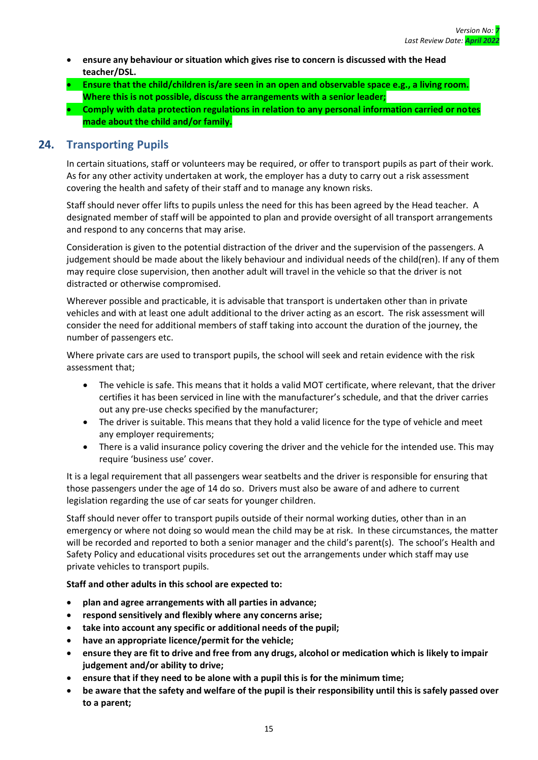- **ensure any behaviour or situation which gives rise to concern is discussed with the Head teacher/DSL.**
- **Ensure that the child/children is/are seen in an open and observable space e.g., a living room. Where this is not possible, discuss the arrangements with a senior leader;**
- **Comply with data protection regulations in relation to any personal information carried or notes made about the child and/or family.**

# <span id="page-19-0"></span>**24. Transporting Pupils**

In certain situations, staff or volunteers may be required, or offer to transport pupils as part of their work. As for any other activity undertaken at work, the employer has a duty to carry out a risk assessment covering the health and safety of their staff and to manage any known risks.

Staff should never offer lifts to pupils unless the need for this has been agreed by the Head teacher. A designated member of staff will be appointed to plan and provide oversight of all transport arrangements and respond to any concerns that may arise.

Consideration is given to the potential distraction of the driver and the supervision of the passengers. A judgement should be made about the likely behaviour and individual needs of the child(ren). If any of them may require close supervision, then another adult will travel in the vehicle so that the driver is not distracted or otherwise compromised.

Wherever possible and practicable, it is advisable that transport is undertaken other than in private vehicles and with at least one adult additional to the driver acting as an escort. The risk assessment will consider the need for additional members of staff taking into account the duration of the journey, the number of passengers etc.

Where private cars are used to transport pupils, the school will seek and retain evidence with the risk assessment that;

- The vehicle is safe. This means that it holds a valid MOT certificate, where relevant, that the driver certifies it has been serviced in line with the manufacturer's schedule, and that the driver carries out any pre-use checks specified by the manufacturer;
- The driver is suitable. This means that they hold a valid licence for the type of vehicle and meet any employer requirements;
- There is a valid insurance policy covering the driver and the vehicle for the intended use. This may require 'business use' cover.

It is a legal requirement that all passengers wear seatbelts and the driver is responsible for ensuring that those passengers under the age of 14 do so. Drivers must also be aware of and adhere to current legislation regarding the use of car seats for younger children.

Staff should never offer to transport pupils outside of their normal working duties, other than in an emergency or where not doing so would mean the child may be at risk. In these circumstances, the matter will be recorded and reported to both a senior manager and the child's parent(s). The school's Health and Safety Policy and educational visits procedures set out the arrangements under which staff may use private vehicles to transport pupils.

- **plan and agree arrangements with all parties in advance;**
- **respond sensitively and flexibly where any concerns arise;**
- **take into account any specific or additional needs of the pupil;**
- **have an appropriate licence/permit for the vehicle;**
- **ensure they are fit to drive and free from any drugs, alcohol or medication which is likely to impair judgement and/or ability to drive;**
- **ensure that if they need to be alone with a pupil this is for the minimum time;**
- **be aware that the safety and welfare of the pupil is their responsibility until this is safely passed over to a parent;**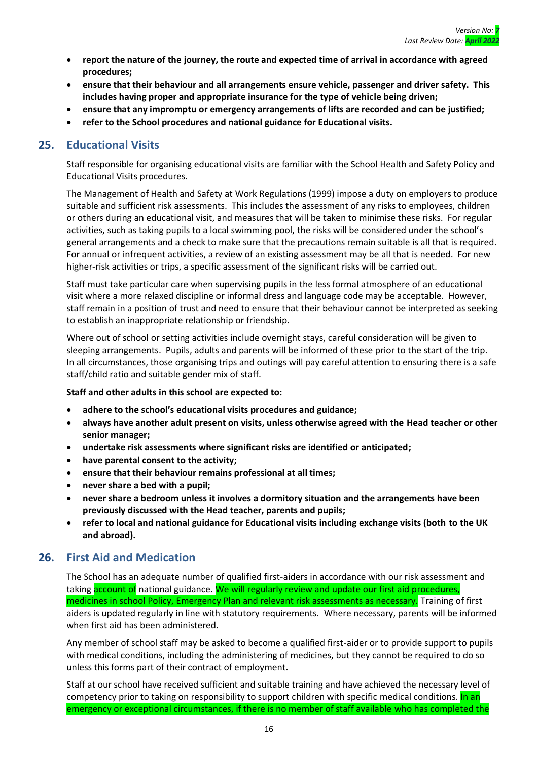- **report the nature of the journey, the route and expected time of arrival in accordance with agreed procedures;**
- **ensure that their behaviour and all arrangements ensure vehicle, passenger and driver safety. This includes having proper and appropriate insurance for the type of vehicle being driven;**
- **ensure that any impromptu or emergency arrangements of lifts are recorded and can be justified;**
- **refer to the School procedures and national guidance for Educational visits.**

# <span id="page-20-0"></span>**25. Educational Visits**

Staff responsible for organising educational visits are familiar with the School Health and Safety Policy and Educational Visits procedures.

The Management of Health and Safety at Work Regulations (1999) impose a duty on employers to produce suitable and sufficient risk assessments. This includes the assessment of any risks to employees, children or others during an educational visit, and measures that will be taken to minimise these risks. For regular activities, such as taking pupils to a local swimming pool, the risks will be considered under the school's general arrangements and a check to make sure that the precautions remain suitable is all that is required. For annual or infrequent activities, a review of an existing assessment may be all that is needed. For new higher-risk activities or trips, a specific assessment of the significant risks will be carried out.

Staff must take particular care when supervising pupils in the less formal atmosphere of an educational visit where a more relaxed discipline or informal dress and language code may be acceptable. However, staff remain in a position of trust and need to ensure that their behaviour cannot be interpreted as seeking to establish an inappropriate relationship or friendship.

Where out of school or setting activities include overnight stays, careful consideration will be given to sleeping arrangements. Pupils, adults and parents will be informed of these prior to the start of the trip. In all circumstances, those organising trips and outings will pay careful attention to ensuring there is a safe staff/child ratio and suitable gender mix of staff.

**Staff and other adults in this school are expected to:**

- **adhere to the school's educational visits procedures and guidance;**
- **always have another adult present on visits, unless otherwise agreed with the Head teacher or other senior manager;**
- **undertake risk assessments where significant risks are identified or anticipated;**
- **have parental consent to the activity;**
- **ensure that their behaviour remains professional at all times;**
- **never share a bed with a pupil;**
- **never share a bedroom unless it involves a dormitory situation and the arrangements have been previously discussed with the Head teacher, parents and pupils;**
- **refer to local and national guidance for Educational visits including exchange visits (both to the UK and abroad).**

#### <span id="page-20-1"></span>**26. First Aid and Medication**

The School has an adequate number of qualified first-aiders in accordance with our risk assessment and taking account of national guidance. We will regularly review and update our first aid procedures, medicines in school Policy, Emergency Plan and relevant risk assessments as necessary. Training of first aiders is updated regularly in line with statutory requirements. Where necessary, parents will be informed when first aid has been administered.

Any member of school staff may be asked to become a qualified first-aider or to provide support to pupils with medical conditions, including the administering of medicines, but they cannot be required to do so unless this forms part of their contract of employment.

Staff at our school have received sufficient and suitable training and have achieved the necessary level of competency prior to taking on responsibility to support children with specific medical conditions. In an emergency or exceptional circumstances, if there is no member of staff available who has completed the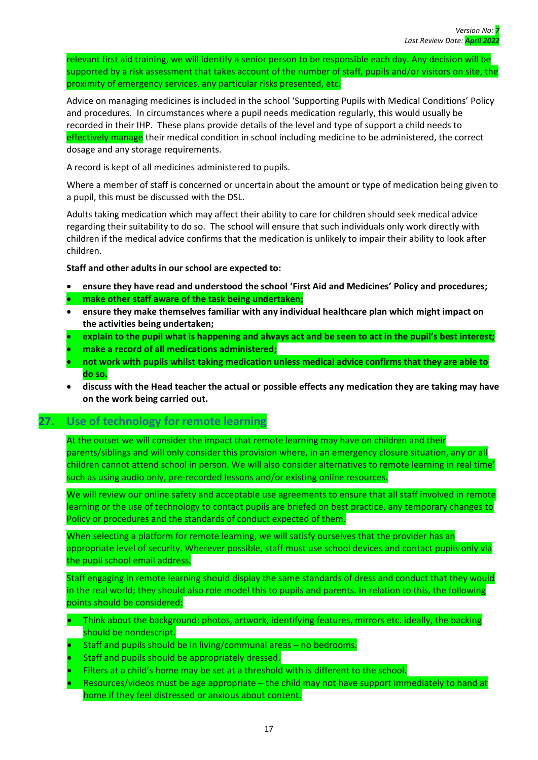relevant first aid training, we will identify a senior person to be responsible each day. Any decision will be supported by a risk assessment that takes account of the number of staff, pupils and/or visitors on site, the proximity of emergency services, any particular risks presented, etc.

Advice on managing medicines is included in the school 'Supporting Pupils with Medical Conditions' Policy and procedures. In circumstances where a pupil needs medication regularly, this would usually be recorded in their IHP. These plans provide details of the level and type of support a child needs to effectively manage their medical condition in school including medicine to be administered, the correct dosage and any storage requirements.

A record is kept of all medicines administered to pupils.

Where a member of staff is concerned or uncertain about the amount or type of medication being given to a pupil, this must be discussed with the DSL.

Adults taking medication which may affect their ability to care for children should seek medical advice regarding their suitability to do so. The school will ensure that such individuals only work directly with children if the medical advice confirms that the medication is unlikely to impair their ability to look after children.

**Staff and other adults in our school are expected to:**

- **ensure they have read and understood the school 'First Aid and Medicines' Policy and procedures;**
- **make other staff aware of the task being undertaken;**
- **ensure they make themselves familiar with any individual healthcare plan which might impact on the activities being undertaken;**
- **explain to the pupil what is happening and always act and be seen to act in the pupil's best interest;**
- **make a record of all medications administered;**
- **not work with pupils whilst taking medication unless medical advice confirms that they are able to do so.**
- **discuss with the Head teacher the actual or possible effects any medication they are taking may have on the work being carried out.**

#### **27. Use of technology for remote learning**

At the outset we will consider the impact that remote learning may have on children and their parents/siblings and will only consider this provision where, in an emergency closure situation, any or all children cannot attend school in person. We will also consider alternatives to remote learning in real time' such as using audio only, pre-recorded lessons and/or existing online resources.

We will review our online safety and acceptable use agreements to ensure that all staff involved in remote learning or the use of technology to contact pupils are briefed on best practice, any temporary changes to Policy or procedures and the standards of conduct expected of them.

When selecting a platform for remote learning, we will satisfy ourselves that the provider has an appropriate level of security. Wherever possible, staff must use school devices and contact pupils only via the pupil school email address.

Staff engaging in remote learning should display the same standards of dress and conduct that they would in the real world; they should also role model this to pupils and parents. In relation to this, the following points should be considered:

- Think about the background: photos, artwork, identifying features, mirrors etc. ideally, the backing should be nondescript.
- Staff and pupils should be in living/communal areas no bedrooms.
- Staff and pupils should be appropriately dressed.
- Filters at a child's home may be set at a threshold with is different to the school.
- Resources/videos must be age appropriate the child may not have support immediately to hand at home if they feel distressed or anxious about content.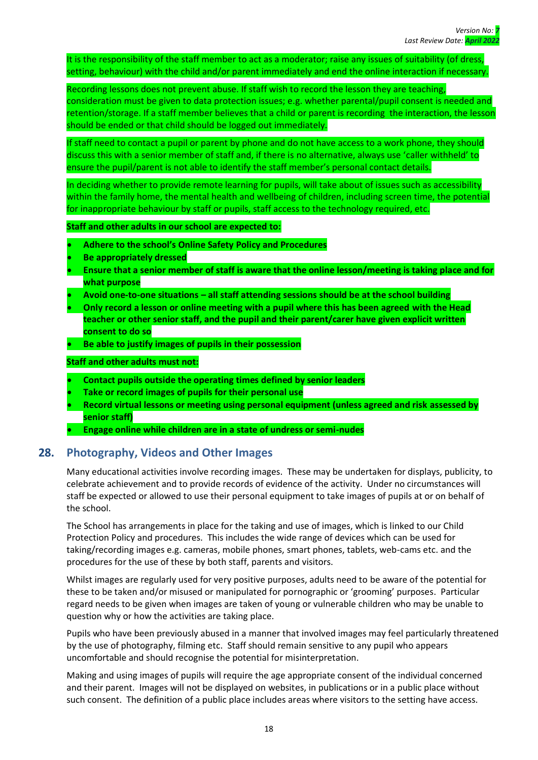It is the responsibility of the staff member to act as a moderator; raise any issues of suitability (of dress, setting, behaviour) with the child and/or parent immediately and end the online interaction if necessary.

Recording lessons does not prevent abuse. If staff wish to record the lesson they are teaching, consideration must be given to data protection issues; e.g. whether parental/pupil consent is needed and retention/storage. If a staff member believes that a child or parent is recording the interaction, the lesson should be ended or that child should be logged out immediately.

If staff need to contact a pupil or parent by phone and do not have access to a work phone, they should discuss this with a senior member of staff and, if there is no alternative, always use 'caller withheld' to ensure the pupil/parent is not able to identify the staff member's personal contact details.

In deciding whether to provide remote learning for pupils, will take about of issues such as accessibility within the family home, the mental health and wellbeing of children, including screen time, the potential for inappropriate behaviour by staff or pupils, staff access to the technology required, etc.

**Staff and other adults in our school are expected to:**

- **Adhere to the school's Online Safety Policy and Procedures**
- **Be appropriately dressed**
- **Ensure that a senior member of staff is aware that the online lesson/meeting is taking place and for what purpose**
- **Avoid one-to-one situations – all staff attending sessions should be at the school building**
- **Only record a lesson or online meeting with a pupil where this has been agreed with the Head teacher or other senior staff, and the pupil and their parent/carer have given explicit written consent to do so**
- **Be able to justify images of pupils in their possession**

#### **Staff and other adults must not:**

- **Contact pupils outside the operating times defined by senior leaders**
- **Take or record images of pupils for their personal use**
- **Record virtual lessons or meeting using personal equipment (unless agreed and risk assessed by senior staff)**
- **Engage online while children are in a state of undress or semi-nudes**

# <span id="page-22-0"></span>**28. Photography, Videos and Other Images**

Many educational activities involve recording images. These may be undertaken for displays, publicity, to celebrate achievement and to provide records of evidence of the activity. Under no circumstances will staff be expected or allowed to use their personal equipment to take images of pupils at or on behalf of the school.

The School has arrangements in place for the taking and use of images, which is linked to our Child Protection Policy and procedures. This includes the wide range of devices which can be used for taking/recording images e.g. cameras, mobile phones, smart phones, tablets, web-cams etc. and the procedures for the use of these by both staff, parents and visitors.

Whilst images are regularly used for very positive purposes, adults need to be aware of the potential for these to be taken and/or misused or manipulated for pornographic or 'grooming' purposes. Particular regard needs to be given when images are taken of young or vulnerable children who may be unable to question why or how the activities are taking place.

Pupils who have been previously abused in a manner that involved images may feel particularly threatened by the use of photography, filming etc. Staff should remain sensitive to any pupil who appears uncomfortable and should recognise the potential for misinterpretation.

Making and using images of pupils will require the age appropriate consent of the individual concerned and their parent. Images will not be displayed on websites, in publications or in a public place without such consent. The definition of a public place includes areas where visitors to the setting have access.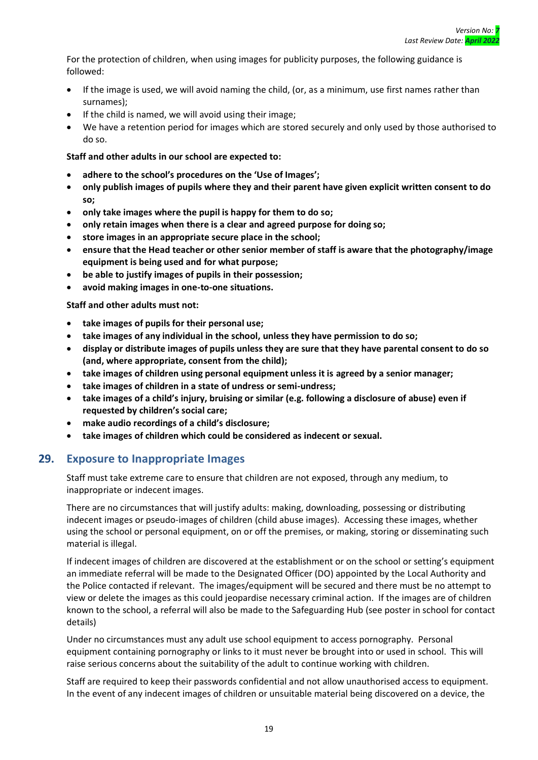For the protection of children, when using images for publicity purposes, the following guidance is followed:

- If the image is used, we will avoid naming the child, (or, as a minimum, use first names rather than surnames);
- If the child is named, we will avoid using their image;
- We have a retention period for images which are stored securely and only used by those authorised to do so.

#### **Staff and other adults in our school are expected to:**

- **adhere to the school's procedures on the 'Use of Images';**
- **only publish images of pupils where they and their parent have given explicit written consent to do so;**
- **only take images where the pupil is happy for them to do so;**
- **only retain images when there is a clear and agreed purpose for doing so;**
- **store images in an appropriate secure place in the school;**
- **ensure that the Head teacher or other senior member of staff is aware that the photography/image equipment is being used and for what purpose;**
- **be able to justify images of pupils in their possession;**
- **avoid making images in one-to-one situations.**

**Staff and other adults must not:**

- **take images of pupils for their personal use;**
- **take images of any individual in the school, unless they have permission to do so;**
- **display or distribute images of pupils unless they are sure that they have parental consent to do so (and, where appropriate, consent from the child);**
- **take images of children using personal equipment unless it is agreed by a senior manager;**
- **take images of children in a state of undress or semi-undress;**
- **take images of a child's injury, bruising or similar (e.g. following a disclosure of abuse) even if requested by children's social care;**
- **make audio recordings of a child's disclosure;**
- **take images of children which could be considered as indecent or sexual.**

#### <span id="page-23-0"></span>**29. Exposure to Inappropriate Images**

Staff must take extreme care to ensure that children are not exposed, through any medium, to inappropriate or indecent images.

There are no circumstances that will justify adults: making, downloading, possessing or distributing indecent images or pseudo-images of children (child abuse images). Accessing these images, whether using the school or personal equipment, on or off the premises, or making, storing or disseminating such material is illegal.

If indecent images of children are discovered at the establishment or on the school or setting's equipment an immediate referral will be made to the Designated Officer (DO) appointed by the Local Authority and the Police contacted if relevant. The images/equipment will be secured and there must be no attempt to view or delete the images as this could jeopardise necessary criminal action. If the images are of children known to the school, a referral will also be made to the Safeguarding Hub (see poster in school for contact details)

Under no circumstances must any adult use school equipment to access pornography. Personal equipment containing pornography or links to it must never be brought into or used in school. This will raise serious concerns about the suitability of the adult to continue working with children.

Staff are required to keep their passwords confidential and not allow unauthorised access to equipment. In the event of any indecent images of children or unsuitable material being discovered on a device, the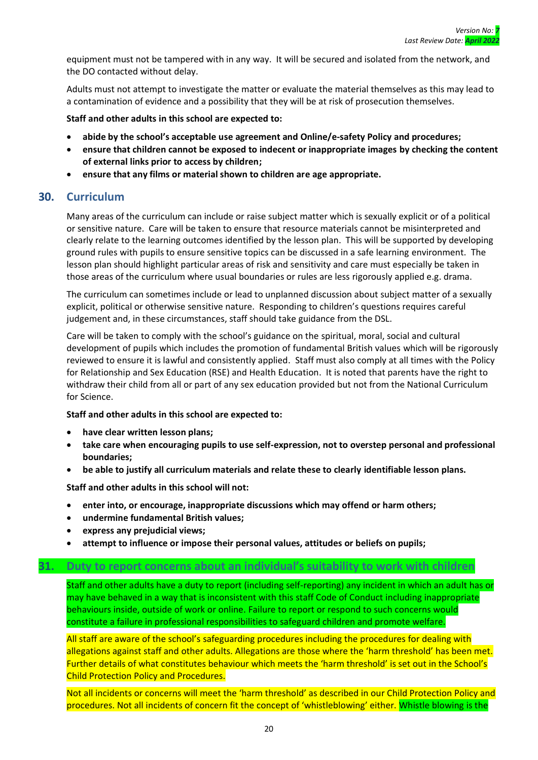equipment must not be tampered with in any way. It will be secured and isolated from the network, and the DO contacted without delay.

Adults must not attempt to investigate the matter or evaluate the material themselves as this may lead to a contamination of evidence and a possibility that they will be at risk of prosecution themselves.

**Staff and other adults in this school are expected to:**

- **abide by the school's acceptable use agreement and Online/e-safety Policy and procedures;**
- **ensure that children cannot be exposed to indecent or inappropriate images by checking the content of external links prior to access by children;**
- **ensure that any films or material shown to children are age appropriate.**

#### <span id="page-24-0"></span>**30. Curriculum**

Many areas of the curriculum can include or raise subject matter which is sexually explicit or of a political or sensitive nature. Care will be taken to ensure that resource materials cannot be misinterpreted and clearly relate to the learning outcomes identified by the lesson plan. This will be supported by developing ground rules with pupils to ensure sensitive topics can be discussed in a safe learning environment. The lesson plan should highlight particular areas of risk and sensitivity and care must especially be taken in those areas of the curriculum where usual boundaries or rules are less rigorously applied e.g. drama.

The curriculum can sometimes include or lead to unplanned discussion about subject matter of a sexually explicit, political or otherwise sensitive nature. Responding to children's questions requires careful judgement and, in these circumstances, staff should take guidance from the DSL.

Care will be taken to comply with the school's guidance on the spiritual, moral, social and cultural development of pupils which includes the promotion of fundamental British values which will be rigorously reviewed to ensure it is lawful and consistently applied. Staff must also comply at all times with the Policy for Relationship and Sex Education (RSE) and Health Education. It is noted that parents have the right to withdraw their child from all or part of any sex education provided but not from the National Curriculum for Science.

**Staff and other adults in this school are expected to:**

- **have clear written lesson plans;**
- **take care when encouraging pupils to use self-expression, not to overstep personal and professional boundaries;**
- **be able to justify all curriculum materials and relate these to clearly identifiable lesson plans.**

**Staff and other adults in this school will not:**

- **enter into, or encourage, inappropriate discussions which may offend or harm others;**
- **undermine fundamental British values;**
- **express any prejudicial views;**
- **attempt to influence or impose their personal values, attitudes or beliefs on pupils;**

#### **31. Duty to report concerns about an individual's suitability to work with children**

Staff and other adults have a duty to report (including self-reporting) any incident in which an adult has or may have behaved in a way that is inconsistent with this staff Code of Conduct including inappropriate behaviours inside, outside of work or online. Failure to report or respond to such concerns would constitute a failure in professional responsibilities to safeguard children and promote welfare.

All staff are aware of the school's safeguarding procedures including the procedures for dealing with allegations against staff and other adults. Allegations are those where the 'harm threshold' has been met. Further details of what constitutes behaviour which meets the 'harm threshold' is set out in the School's Child Protection Policy and Procedures.

Not all incidents or concerns will meet the 'harm threshold' as described in our Child Protection Policy and procedures. Not all incidents of concern fit the concept of 'whistleblowing' either. Whistle blowing is the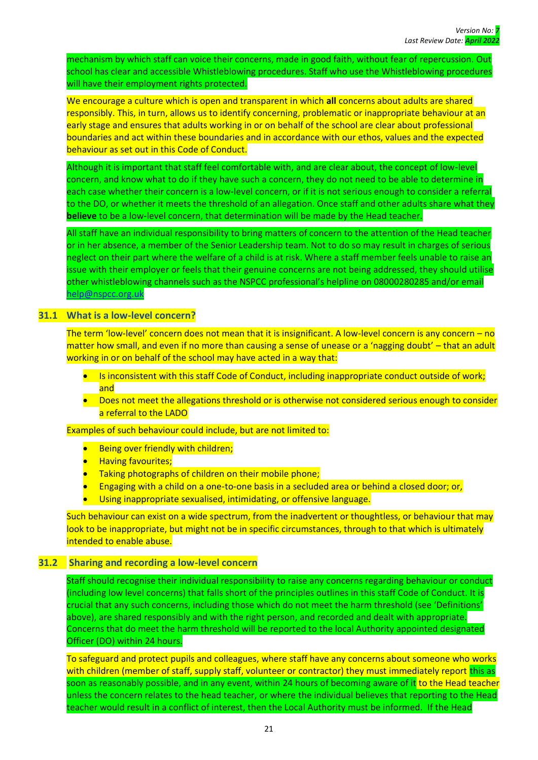mechanism by which staff can voice their concerns, made in good faith, without fear of repercussion. Out school has clear and accessible Whistleblowing procedures. Staff who use the Whistleblowing procedures will have their employment rights protected.

We encourage a culture which is open and transparent in which **all** concerns about adults are shared responsibly. This, in turn, allows us to identify concerning, problematic or inappropriate behaviour at an early stage and ensures that adults working in or on behalf of the school are clear about professional boundaries and act within these boundaries and in accordance with our ethos, values and the expected behaviour as set out in this Code of Conduct.

Although it is important that staff feel comfortable with, and are clear about, the concept of low-level concern, and know what to do if they have such a concern, they do not need to be able to determine in each case whether their concern is a low-level concern, or if it is not serious enough to consider a referral to the DO, or whether it meets the threshold of an allegation. Once staff and other adults share what they **believe** to be a low-level concern, that determination will be made by the Head teacher.

All staff have an individual responsibility to bring matters of concern to the attention of the Head teacher or in her absence, a member of the Senior Leadership team. Not to do so may result in charges of serious neglect on their part where the welfare of a child is at risk. Where a staff member feels unable to raise an issue with their employer or feels that their genuine concerns are not being addressed, they should utilise other whistleblowing channels such as the NSPCC professional's helpline on 08000280285 and/or email [help@nspcc.org.uk](mailto:help@nspcc.org.uk)

#### <span id="page-25-0"></span>**31.1 What is a low-level concern?**

The term 'low-level' concern does not mean that it is insignificant. A low-level concern is any concern – no matter how small, and even if no more than causing a sense of unease or a 'nagging doubt' – that an adult working in or on behalf of the school may have acted in a way that:

- Is inconsistent with this staff Code of Conduct, including inappropriate conduct outside of work; and
- Does not meet the allegations threshold or is otherwise not considered serious enough to consider a referral to the LADO

Examples of such behaviour could include, but are not limited to:

- Being over friendly with children;
- Having favourites;
- Taking photographs of children on their mobile phone;
- Engaging with a child on a one-to-one basis in a secluded area or behind a closed door; or,
- Using inappropriate sexualised, intimidating, or offensive language.

Such behaviour can exist on a wide spectrum, from the inadvertent or thoughtless, or behaviour that may look to be inappropriate, but might not be in specific circumstances, through to that which is ultimately intended to enable abuse.

#### **31.2 Sharing and recording a low-level concern**

<span id="page-25-1"></span>Staff should recognise their individual responsibility to raise any concerns regarding behaviour or conduct (including low level concerns) that falls short of the principles outlines in this staff Code of Conduct. It is crucial that any such concerns, including those which do not meet the harm threshold (see 'Definitions' above), are shared responsibly and with the right person, and recorded and dealt with appropriate. Concerns that do meet the harm threshold will be reported to the local Authority appointed designated Officer (DO) within 24 hours.

To safeguard and protect pupils and colleagues, where staff have any concerns about someone who works with children (member of staff, supply staff, volunteer or contractor) they must immediately report this as soon as reasonably possible, and in any event, within 24 hours of becoming aware of it to the Head teacher unless the concern relates to the head teacher, or where the individual believes that reporting to the Head teacher would result in a conflict of interest, then the Local Authority must be informed. If the Head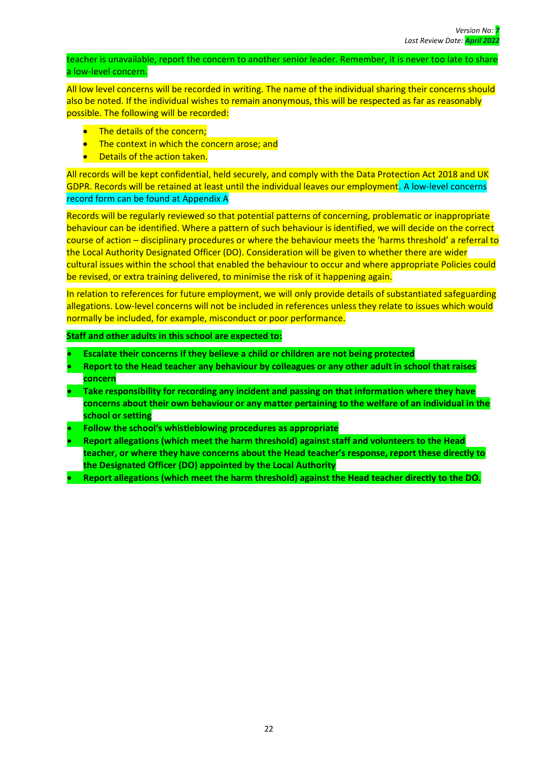teacher is unavailable, report the concern to another senior leader. Remember, it is never too late to share a low-level concern.

All low level concerns will be recorded in writing. The name of the individual sharing their concerns should also be noted. If the individual wishes to remain anonymous, this will be respected as far as reasonably possible. The following will be recorded:

- The details of the concern;
- The context in which the concern arose; and
- Details of the action taken.

All records will be kept confidential, held securely, and comply with the Data Protection Act 2018 and UK GDPR. Records will be retained at least until the individual leaves our employment. A low-level concerns record form can be found at Appendix A

Records will be regularly reviewed so that potential patterns of concerning, problematic or inappropriate behaviour can be identified. Where a pattern of such behaviour is identified, we will decide on the correct course of action – disciplinary procedures or where the behaviour meets the 'harms threshold' a referral to the Local Authority Designated Officer (DO). Consideration will be given to whether there are wider cultural issues within the school that enabled the behaviour to occur and where appropriate Policies could be revised, or extra training delivered, to minimise the risk of it happening again.

In relation to references for future employment, we will only provide details of substantiated safeguarding allegations. Low-level concerns will not be included in references unless they relate to issues which would normally be included, for example, misconduct or poor performance.

- **Escalate their concerns if they believe a child or children are not being protected**
- **Report to the Head teacher any behaviour by colleagues or any other adult in school that raises concern**
- **Take responsibility for recording any incident and passing on that information where they have concerns about their own behaviour or any matter pertaining to the welfare of an individual in the school or setting**
- **Follow the school's whistleblowing procedures as appropriate**
- **Report allegations (which meet the harm threshold) against staff and volunteers to the Head teacher, or where they have concerns about the Head teacher's response, report these directly to the Designated Officer (DO) appointed by the Local Authority**
- **Report allegations (which meet the harm threshold) against the Head teacher directly to the DO.**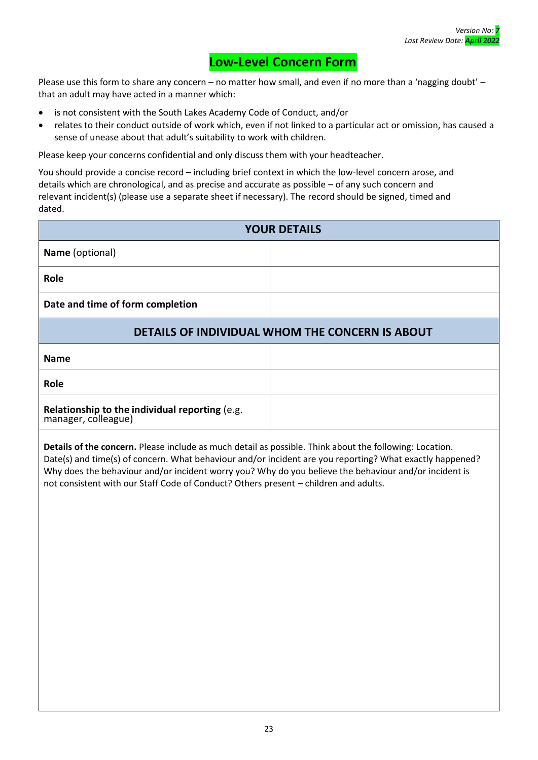# **Low-Level Concern Form**

Please use this form to share any concern – no matter how small, and even if no more than a 'nagging doubt' – that an adult may have acted in a manner which:

- is not consistent with the South Lakes Academy Code of Conduct, and/or
- relates to their conduct outside of work which, even if not linked to a particular act or omission, has caused a sense of unease about that adult's suitability to work with children.

Please keep your concerns confidential and only discuss them with your headteacher.

You should provide a concise record – including brief context in which the low-level concern arose, and details which are chronological, and as precise and accurate as possible – of any such concern and relevant incident(s) (please use a separate sheet if necessary). The record should be signed, timed and dated.

| <b>YOUR DETAILS</b>                             |  |
|-------------------------------------------------|--|
| Name (optional)                                 |  |
| Role                                            |  |
| Date and time of form completion                |  |
| DETAILS OF INDIVIDUAL WHOM THE CONCERN IS ABOUT |  |
| <b>Name</b>                                     |  |
| Role                                            |  |

**Relationship to the individual reporting** (e.g. manager, colleague)

**Details of the concern.** Please include as much detail as possible. Think about the following: Location. Date(s) and time(s) of concern. What behaviour and/or incident are you reporting? What exactly happened? Why does the behaviour and/or incident worry you? Why do you believe the behaviour and/or incident is not consistent with our Staff Code of Conduct? Others present – children and adults.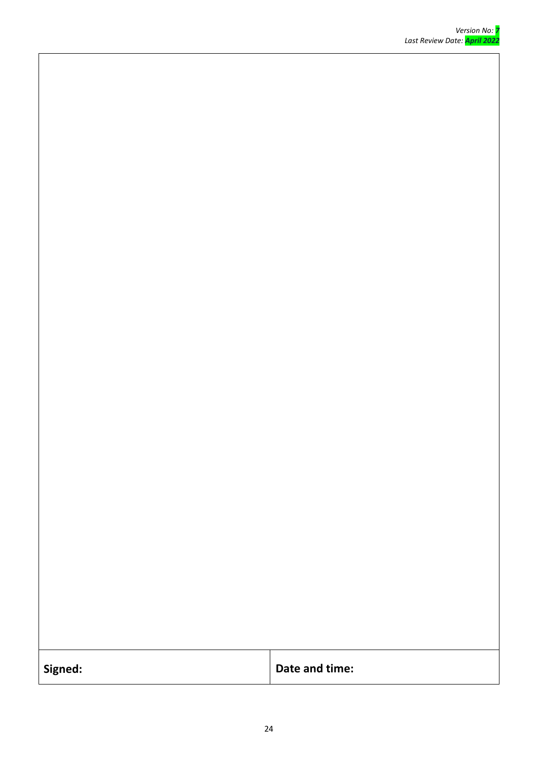| Signed: | Date and time: |
|---------|----------------|